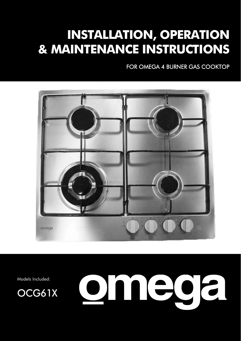# **INSTALLATION, OPERATION & MAINTENANCE INSTRUCTIONS**

FOR OMEGA 4 BURNER GAS COOKTOP



Models Included:



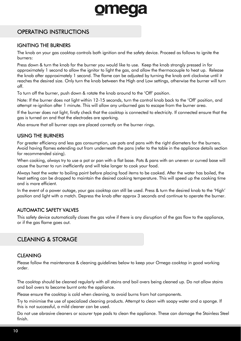## OPERATING INSTRUCTIONS

#### IGNITING THE BURNERS

The knob on your gas cooktop controls both ignition and the safety device. Proceed as follows to ignite the burners:

Press down & turn the knob for the burner you would like to use. Keep the knob strongly pressed in for approximately 1 second to allow the ignitor to light the gas, and allow the thermocouple to heat up. Release the knob after approximately 1 second. The flame can be adjusted by turning the knob anti clockwise until it reaches the desired size. Only turn the knob between the High and Low settings, otherwise the burner will turn off.

To turn off the burner, push down & rotate the knob around to the 'Off' position.

Note: If the burner does not light within 12-15 seconds, turn the control knob back to the 'Off' position, and attempt re-ignition after 1 minute. This will allow any unburned gas to escape from the burner area.

If the burner does not light, firstly check that the cooktop is connected to electricity. If connected ensure that the gas is turned on and that the electrodes are sparking.

Also ensure that all burner caps are placed correctly on the burner rings.

#### USING THE BURNERS

For greater efficiency and less gas consumption, use pots and pans with the right diameters for the burners. Avoid having flames extending out from underneath the pans (refer to the table in the appliance details section for recommended sizing).

When cooking, always try to use a pot or pan with a flat base. Pots & pans with an uneven or curved base will cause the burner to run inefficiently and will take longer to cook your food.

Always heat the water to boiling point before placing food items to be cooked. After the water has boiled, the heat setting can be dropped to maintain the desired cooking temperature. This will speed up the cooking time and is more efficient.

In the event of a power outage, your gas cooktop can still be used. Press & turn the desired knob to the 'High' position and light with a match. Depress the knob after approx 3 seconds and continue to operate the burner.

#### AUTOMATIC SAFETY VALVES

This safety device automatically closes the gas valve if there is any disruption of the gas flow to the appliance, or if the gas flame goes out.

### CLEANING & STORAGE

#### **CLEANING**

Please follow the maintenance & cleaning guidelines below to keep your Omega cooktop in good working order.

The cooktop should be cleaned regularly with all stains and boil overs being cleaned up. Do not allow stains and boil overs to become burnt onto the appliance.

Please ensure the cooktop is cold when cleaning, to avoid burns from hot components.

Try to minimise the use of specialized cleaning products. Attempt to clean with soapy water and a sponge. If this is not successful, a mild cleaner can be used.

Do not use abrasive cleaners or scourer type pads to clean the appliance. These can damage the Stainless Steel finish.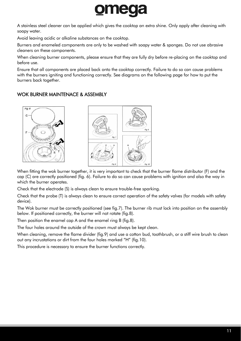

A stainless steel cleaner can be applied which gives the cooktop an extra shine. Only apply after cleaning with soapy water.

Avoid leaving acidic or alkaline substances on the cooktop.

Burners and enameled components are only to be washed with soapy water & sponges. Do not use abrasive cleaners on these components.

When cleaning burner components, please ensure that they are fully dry before re-placing on the cooktop and before use.

Ensure that all components are placed back onto the cooktop correctly. Failure to do so can cause problems with the burners igniting and functioning correctly. See diagrams on the following page for how to put the burners back together.

#### WOK BURNER MAINTENACE & ASSEMBLY



When fitting the wok burner together, it is very important to check that the burner flame distributor (F) and the cap (C) are correctly positioned (fig. 6). Failure to do so can cause problems with ignition and also the way in which the burner operates.

Check that the electrode (S) is always clean to ensure trouble-free sparking.

Check that the probe (T) is always clean to ensure correct operation of the safety valves (for models with safety device).

The Wok burner must be correctly positioned (see fig.7). The burner rib must lock into position on the assembly below. If positioned correctly, the burner will not rotate (fig.8).

Then position the enamel cap A and the enamel ring B (fig.8).

The four holes around the outside of the crown must always be kept clean.

When cleaning, remove the flame divider (fig.9) and use a cotton bud, toothbrush, or a stiff wire brush to clean out any incrustations or dirt from the four holes marked "H" (fig.10).

This procedure is necessary to ensure the burner functions correctly.